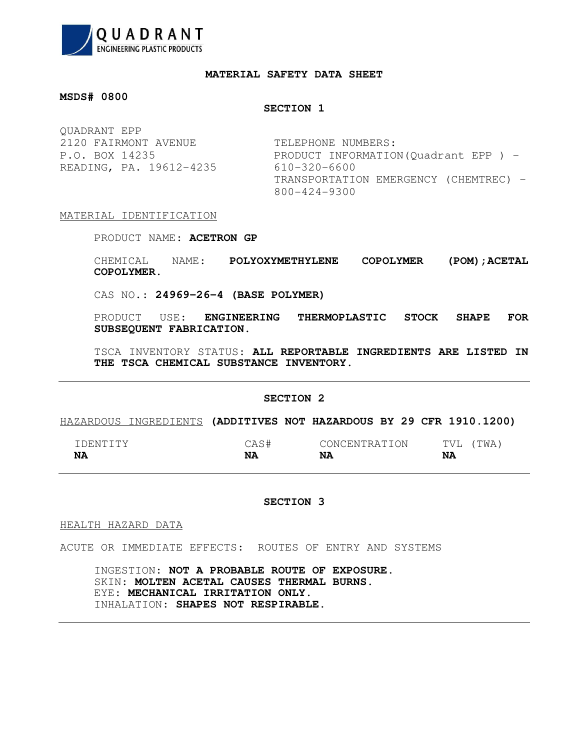

## **MATERIAL SAFETY DATA SHEET**

# **MSDS# 0800**

## **SECTION 1**

QUADRANT EPP 2120 FAIRMONT AVENUE TELEPHONE NUMBERS: READING, PA. 19612-4235 610-320-6600

P.O. BOX 14235 PRODUCT INFORMATION(Quadrant EPP) -TRANSPORTATION EMERGENCY (CHEMTREC) -800-424-9300

# MATERIAL IDENTIFICATION

PRODUCT NAME: **ACETRON GP**

CHEMICAL NAME: **POLYOXYMETHYLENE COPOLYMER (POM);ACETAL COPOLYMER.**

CAS NO.: **24969-26-4 (BASE POLYMER)**

PRODUCT USE: **ENGINEERING THERMOPLASTIC STOCK SHAPE FOR SUBSEQUENT FABRICATION.**

TSCA INVENTORY STATUS: **ALL REPORTABLE INGREDIENTS ARE LISTED IN THE TSCA CHEMICAL SUBSTANCE INVENTORY.**

### **SECTION 2**

## HAZARDOUS INGREDIENTS **(ADDITIVES NOT HAZARDOUS BY 29 CFR 1910.1200)**

| . DENTITY | $\sim$ 1<br>ヽヸ<br>$\overline{\phantom{a}}$<br>الحديب | CONCENTRATION | TWA.<br>mm77<br>$\mathcal{U}$<br>- |
|-----------|------------------------------------------------------|---------------|------------------------------------|
| <b>NA</b> | <b>NA</b>                                            | NA            | NA                                 |

#### **SECTION 3**

HEALTH HAZARD DATA

ACUTE OR IMMEDIATE EFFECTS: ROUTES OF ENTRY AND SYSTEMS

INGESTION: **NOT A PROBABLE ROUTE OF EXPOSURE.** SKIN: **MOLTEN ACETAL CAUSES THERMAL BURNS.** EYE: **MECHANICAL IRRITATION ONLY.** INHALATION: **SHAPES NOT RESPIRABLE.**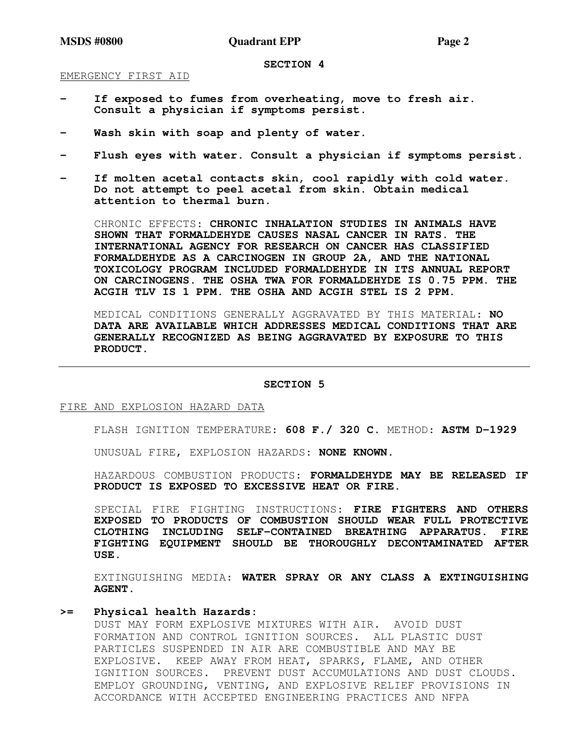#### **SECTION 4**

EMERGENCY FIRST AID

- If exposed to fumes from overheating, move to fresh air. **Consult a physician if symptoms persist.**
- Wash skin with soap and plenty of water.
- Flush eyes with water. Consult a physician if symptoms persist.
- **If molten acetal contacts skin, cool rapidly with cold water. Do not attempt to peel acetal from skin. Obtain medical attention to thermal burn.**

CHRONIC EFFECTS: **CHRONIC INHALATION STUDIES IN ANIMALS HAVE SHOWN THAT FORMALDEHYDE CAUSES NASAL CANCER IN RATS. THE INTERNATIONAL AGENCY FOR RESEARCH ON CANCER HAS CLASSIFIED FORMALDEHYDE AS A CARCINOGEN IN GROUP 2A, AND THE NATIONAL TOXICOLOGY PROGRAM INCLUDED FORMALDEHYDE IN ITS ANNUAL REPORT ON CARCINOGENS. THE OSHA TWA FOR FORMALDEHYDE IS 0.75 PPM. THE ACGIH TLV IS 1 PPM. THE OSHA AND ACGIH STEL IS 2 PPM.**

MEDICAL CONDITIONS GENERALLY AGGRAVATED BY THIS MATERIAL: **NO DATA ARE AVAILABLE WHICH ADDRESSES MEDICAL CONDITIONS THAT ARE GENERALLY RECOGNIZED AS BEING AGGRAVATED BY EXPOSURE TO THIS PRODUCT.**

#### **SECTION 5**

FIRE AND EXPLOSION HAZARD DATA

FLASH IGNITION TEMPERATURE: **608 F./ 320 C.** METHOD: **ASTM D-1929**

UNUSUAL FIRE, EXPLOSION HAZARDS: **NONE KNOWN.**

HAZARDOUS COMBUSTION PRODUCTS: **FORMALDEHYDE MAY BE RELEASED IF PRODUCT IS EXPOSED TO EXCESSIVE HEAT OR FIRE.**

SPECIAL FIRE FIGHTING INSTRUCTIONS: **FIRE FIGHTERS AND OTHERS EXPOSED TO PRODUCTS OF COMBUSTION SHOULD WEAR FULL PROTECTIVE CLOTHING INCLUDING SELF-CONTAINED BREATHING APPARATUS. FIRE FIGHTING EQUIPMENT SHOULD BE THOROUGHLY DECONTAMINATED AFTER USE.**

EXTINGUISHING MEDIA: **WATER SPRAY OR ANY CLASS A EXTINGUISHING AGENT.**

# **>= Physical health Hazards:**

DUST MAY FORM EXPLOSIVE MIXTURES WITH AIR. AVOID DUST FORMATION AND CONTROL IGNITION SOURCES. ALL PLASTIC DUST PARTICLES SUSPENDED IN AIR ARE COMBUSTIBLE AND MAY BE EXPLOSIVE. KEEP AWAY FROM HEAT, SPARKS, FLAME, AND OTHER IGNITION SOURCES. PREVENT DUST ACCUMULATIONS AND DUST CLOUDS. EMPLOY GROUNDING, VENTING, AND EXPLOSIVE RELIEF PROVISIONS IN ACCORDANCE WITH ACCEPTED ENGINEERING PRACTICES AND NFPA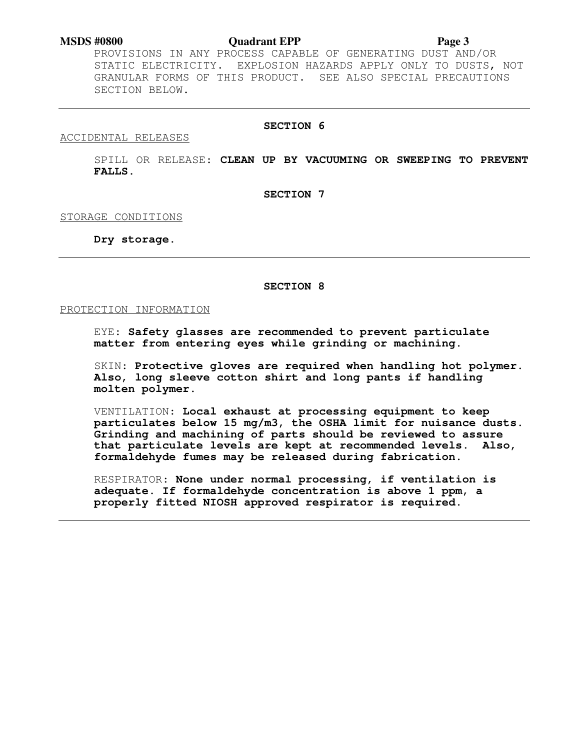PROVISIONS IN ANY PROCESS CAPABLE OF GENERATING DUST AND/OR STATIC ELECTRICITY. EXPLOSION HAZARDS APPLY ONLY TO DUSTS, NOT GRANULAR FORMS OF THIS PRODUCT. SEE ALSO SPECIAL PRECAUTIONS SECTION BELOW.

# **SECTION 6**

ACCIDENTAL RELEASES

SPILL OR RELEASE: **CLEAN UP BY VACUUMING OR SWEEPING TO PREVENT FALLS.** 

**SECTION 7** 

STORAGE CONDITIONS

**Dry storage.** 

**SECTION 8** 

PROTECTION INFORMATION

EYE: **Safety glasses are recommended to prevent particulate matter from entering eyes while grinding or machining.** 

SKIN: **Protective gloves are required when handling hot polymer. Also, long sleeve cotton shirt and long pants if handling molten polymer.** 

VENTILATION: **Local exhaust at processing equipment to keep particulates below 15 mg/m3, the OSHA limit for nuisance dusts. Grinding and machining of parts should be reviewed to assure that particulate levels are kept at recommended levels. Also, formaldehyde fumes may be released during fabrication.** 

RESPIRATOR: **None under normal processing, if ventilation is adequate. If formaldehyde concentration is above 1 ppm, a properly fitted NIOSH approved respirator is required.**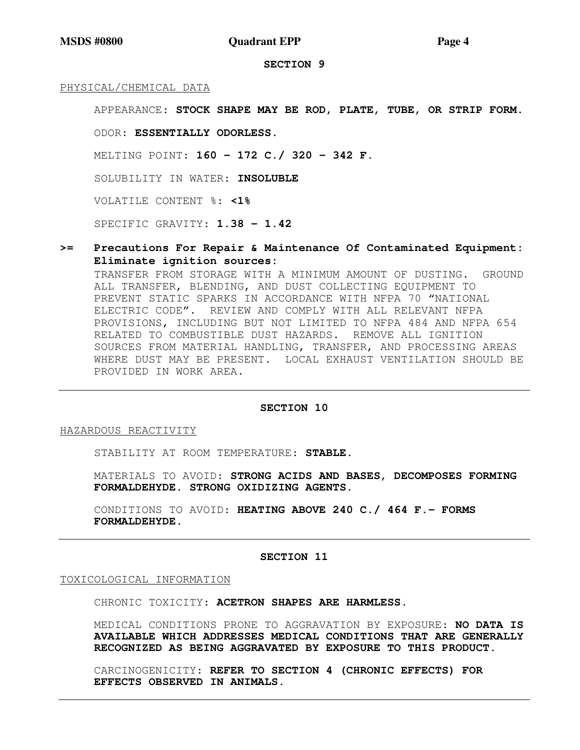**SECTION 9** 

## PHYSICAL/CHEMICAL DATA

APPEARANCE: **STOCK SHAPE MAY BE ROD, PLATE, TUBE, OR STRIP FORM.**

ODOR: **ESSENTIALLY ODORLESS.**

MELTING POINT: **160 - 172 C./ 320 - 342 F.**

SOLUBILITY IN WATER: **INSOLUBLE**

VOLATILE CONTENT %: **<1%**

SPECIFIC GRAVITY: **1.38 - 1.42** 

**>= Precautions For Repair & Maintenance Of Contaminated Equipment: Eliminate ignition sources:** 

TRANSFER FROM STORAGE WITH A MINIMUM AMOUNT OF DUSTING. GROUND ALL TRANSFER, BLENDING, AND DUST COLLECTING EQUIPMENT TO PREVENT STATIC SPARKS IN ACCORDANCE WITH NFPA 70 "NATIONAL ELECTRIC CODE". REVIEW AND COMPLY WITH ALL RELEVANT NFPA PROVISIONS, INCLUDING BUT NOT LIMITED TO NFPA 484 AND NFPA 654 RELATED TO COMBUSTIBLE DUST HAZARDS. REMOVE ALL IGNITION SOURCES FROM MATERIAL HANDLING, TRANSFER, AND PROCESSING AREAS WHERE DUST MAY BE PRESENT. LOCAL EXHAUST VENTILATION SHOULD BE PROVIDED IN WORK AREA.

### **SECTION 10**

HAZARDOUS REACTIVITY

STABILITY AT ROOM TEMPERATURE: **STABLE.**

MATERIALS TO AVOID: **STRONG ACIDS AND BASES, DECOMPOSES FORMING FORMALDEHYDE. STRONG OXIDIZING AGENTS.**

CONDITIONS TO AVOID: **HEATING ABOVE 240 C./ 464 F.- FORMS FORMALDEHYDE.**

## **SECTION 11**

TOXICOLOGICAL INFORMATION

CHRONIC TOXICITY: **ACETRON SHAPES ARE HARMLESS.** 

MEDICAL CONDITIONS PRONE TO AGGRAVATION BY EXPOSURE: **NO DATA IS AVAILABLE WHICH ADDRESSES MEDICAL CONDITIONS THAT ARE GENERALLY RECOGNIZED AS BEING AGGRAVATED BY EXPOSURE TO THIS PRODUCT.**

CARCINOGENICITY: **REFER TO SECTION 4 (CHRONIC EFFECTS) FOR EFFECTS OBSERVED IN ANIMALS.**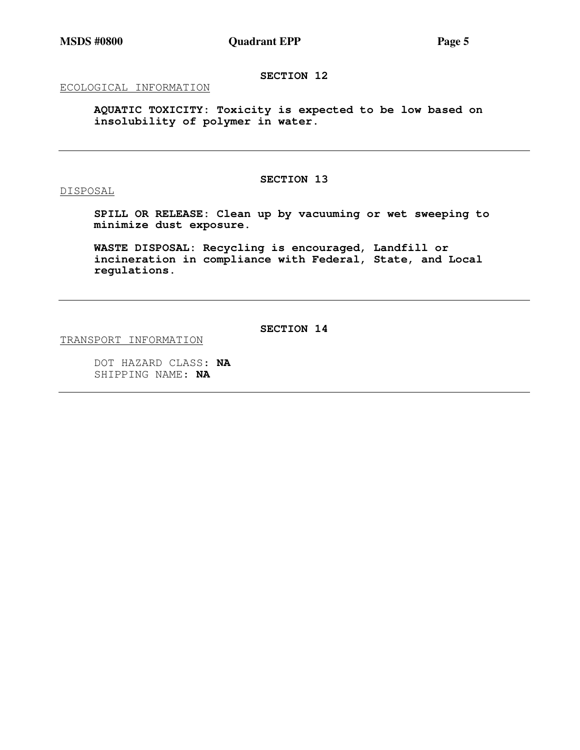**SECTION 12** 

ECOLOGICAL INFORMATION

**AQUATIC TOXICITY: Toxicity is expected to be low based on insolubility of polymer in water.** 

DISPOSAL

**SECTION 13** 

**SPILL OR RELEASE: Clean up by vacuuming or wet sweeping to minimize dust exposure.** 

**WASTE DISPOSAL: Recycling is encouraged, Landfill or incineration in compliance with Federal, State, and Local regulations.** 

**SECTION 14** 

TRANSPORT INFORMATION

DOT HAZARD CLASS: **NA** SHIPPING NAME: **NA**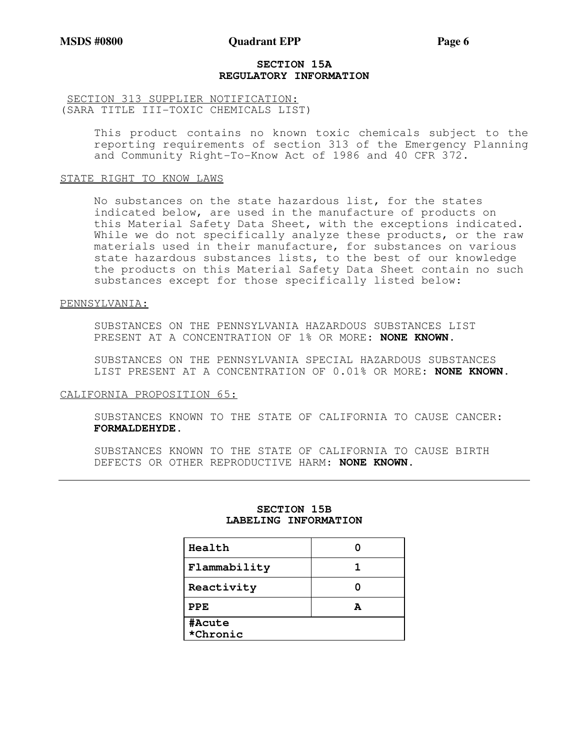## **SECTION 15A REGULATORY INFORMATION**

# SECTION 313 SUPPLIER NOTIFICATION: (SARA TITLE III-TOXIC CHEMICALS LIST)

This product contains no known toxic chemicals subject to the reporting requirements of section 313 of the Emergency Planning and Community Right-To-Know Act of 1986 and 40 CFR 372.

### STATE RIGHT TO KNOW LAWS

No substances on the state hazardous list, for the states indicated below, are used in the manufacture of products on this Material Safety Data Sheet, with the exceptions indicated. While we do not specifically analyze these products, or the raw materials used in their manufacture, for substances on various state hazardous substances lists, to the best of our knowledge the products on this Material Safety Data Sheet contain no such substances except for those specifically listed below:

### PENNSYLVANIA:

SUBSTANCES ON THE PENNSYLVANIA HAZARDOUS SUBSTANCES LIST PRESENT AT A CONCENTRATION OF 1% OR MORE: **NONE KNOWN.**

SUBSTANCES ON THE PENNSYLVANIA SPECIAL HAZARDOUS SUBSTANCES LIST PRESENT AT A CONCENTRATION OF 0.01% OR MORE: **NONE KNOWN.**

## CALIFORNIA PROPOSITION 65:

SUBSTANCES KNOWN TO THE STATE OF CALIFORNIA TO CAUSE CANCER: **FORMALDEHYDE.**

SUBSTANCES KNOWN TO THE STATE OF CALIFORNIA TO CAUSE BIRTH DEFECTS OR OTHER REPRODUCTIVE HARM: **NONE KNOWN.**

| Health             |  |
|--------------------|--|
| Flammability       |  |
| Reactivity         |  |
| PPE                |  |
| #Acute<br>*Chronic |  |

# **SECTION 15B LABELING INFORMATION**